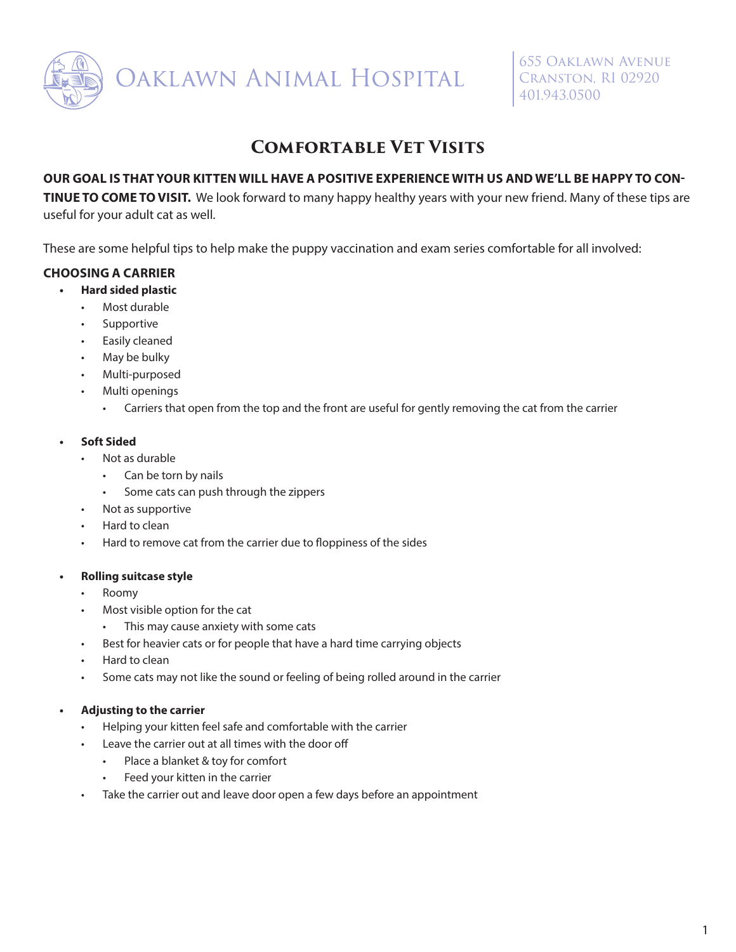

# **Comfortable Vet Visits**

### **OUR GOAL IS THAT YOUR KITTEN WILL HAVE A POSITIVE EXPERIENCE WITH US AND WE'LL BE HAPPY TO CON-**

**TINUE TO COME TO VISIT.** We look forward to many happy healthy years with your new friend. Many of these tips are useful for your adult cat as well.

These are some helpful tips to help make the puppy vaccination and exam series comfortable for all involved:

# **CHOOSING A CARRIER**

- **• Hard sided plastic**
	- Most durable
	- Supportive
	- Easily cleaned
	- May be bulky
	- Multi-purposed
	- Multi openings
		- Carriers that open from the top and the front are useful for gently removing the cat from the carrier

#### **• Soft Sided**

- Not as durable
	- Can be torn by nails
	- Some cats can push through the zippers
- Not as supportive
- Hard to clean
- Hard to remove cat from the carrier due to floppiness of the sides

#### **• Rolling suitcase style**

- Roomy
- Most visible option for the cat
	- This may cause anxiety with some cats
- Best for heavier cats or for people that have a hard time carrying objects
- Hard to clean
- Some cats may not like the sound or feeling of being rolled around in the carrier

# **• Adjusting to the carrier**

- Helping your kitten feel safe and comfortable with the carrier
- Leave the carrier out at all times with the door off
	- Place a blanket & toy for comfort
	- Feed your kitten in the carrier
- Take the carrier out and leave door open a few days before an appointment